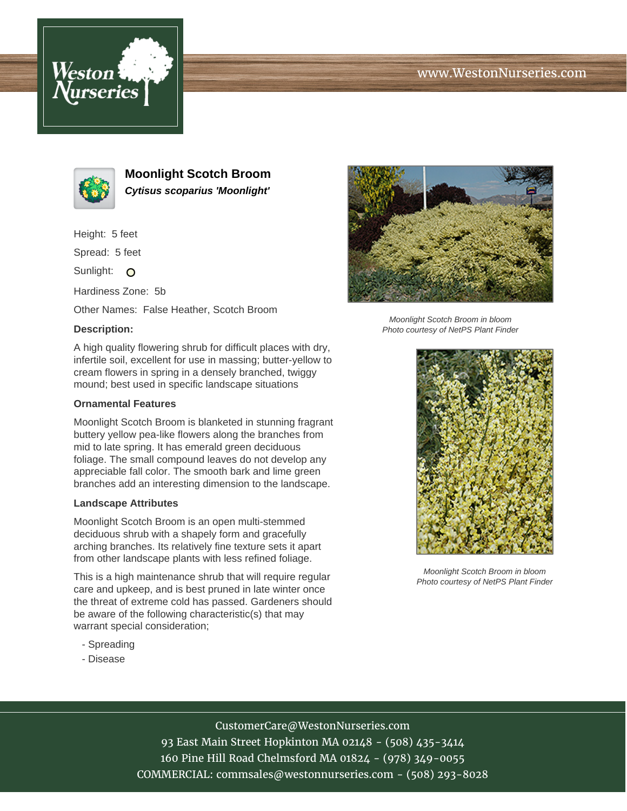# www.WestonNurseries.com





**Moonlight Scotch Broom Cytisus scoparius 'Moonlight'**

Height: 5 feet

Spread: 5 feet

Sunlight: O

Hardiness Zone: 5b

Other Names: False Heather, Scotch Broom

# **Description:**

A high quality flowering shrub for difficult places with dry, infertile soil, excellent for use in massing; butter-yellow to cream flowers in spring in a densely branched, twiggy mound; best used in specific landscape situations

### **Ornamental Features**

Moonlight Scotch Broom is blanketed in stunning fragrant buttery yellow pea-like flowers along the branches from mid to late spring. It has emerald green deciduous foliage. The small compound leaves do not develop any appreciable fall color. The smooth bark and lime green branches add an interesting dimension to the landscape.

#### **Landscape Attributes**

Moonlight Scotch Broom is an open multi-stemmed deciduous shrub with a shapely form and gracefully arching branches. Its relatively fine texture sets it apart from other landscape plants with less refined foliage.

This is a high maintenance shrub that will require regular care and upkeep, and is best pruned in late winter once the threat of extreme cold has passed. Gardeners should be aware of the following characteristic(s) that may warrant special consideration;

- Spreading
- Disease



Moonlight Scotch Broom in bloom Photo courtesy of NetPS Plant Finder



Moonlight Scotch Broom in bloom Photo courtesy of NetPS Plant Finder

CustomerCare@WestonNurseries.com

93 East Main Street Hopkinton MA 02148 - (508) 435-3414 160 Pine Hill Road Chelmsford MA 01824 - (978) 349-0055 COMMERCIAL: commsales@westonnurseries.com - (508) 293-8028